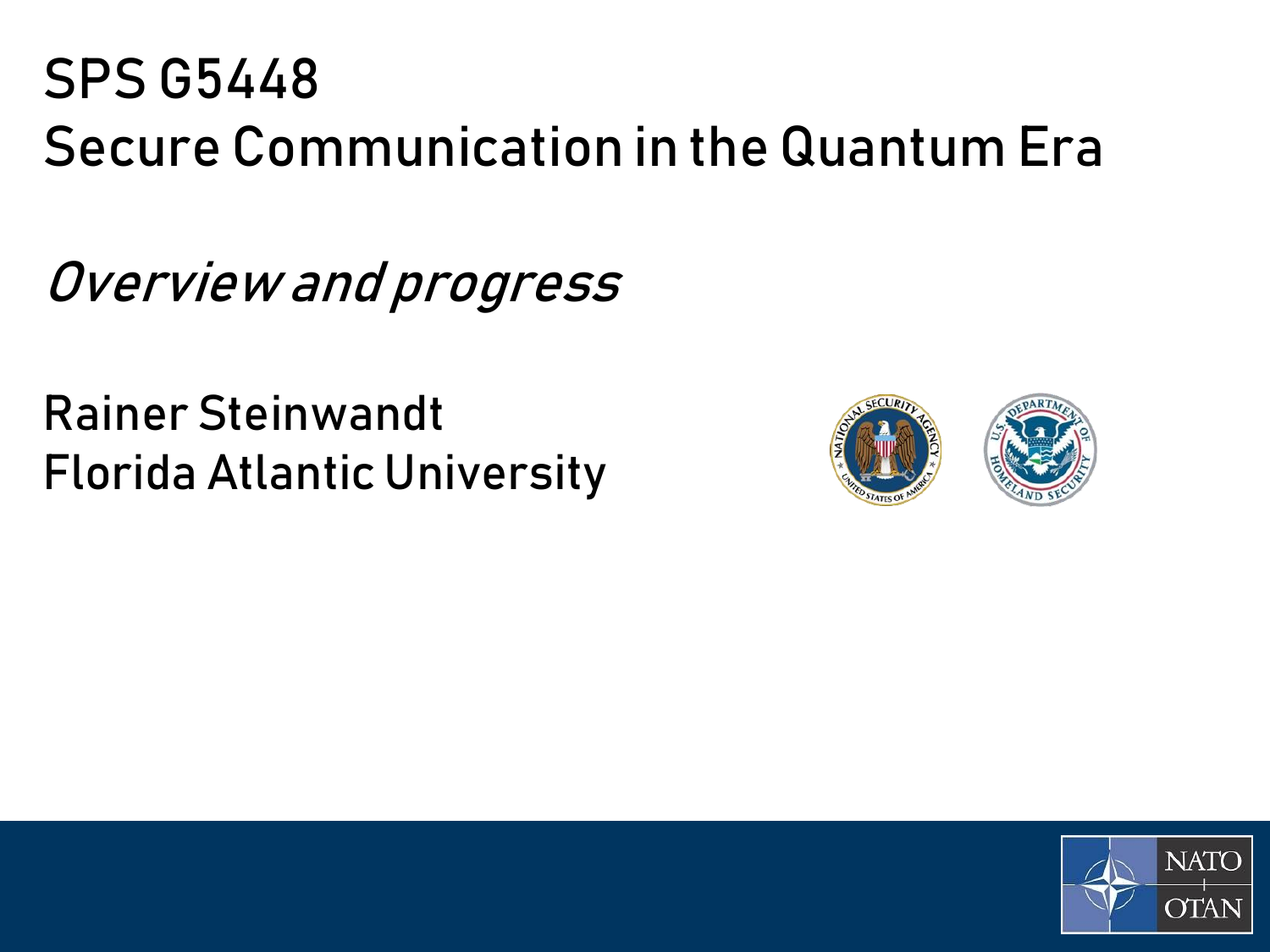## SPS G5448 Secure Communication in the Quantum Era

Overview and progress

Rainer Steinwandt Florida Atlantic University



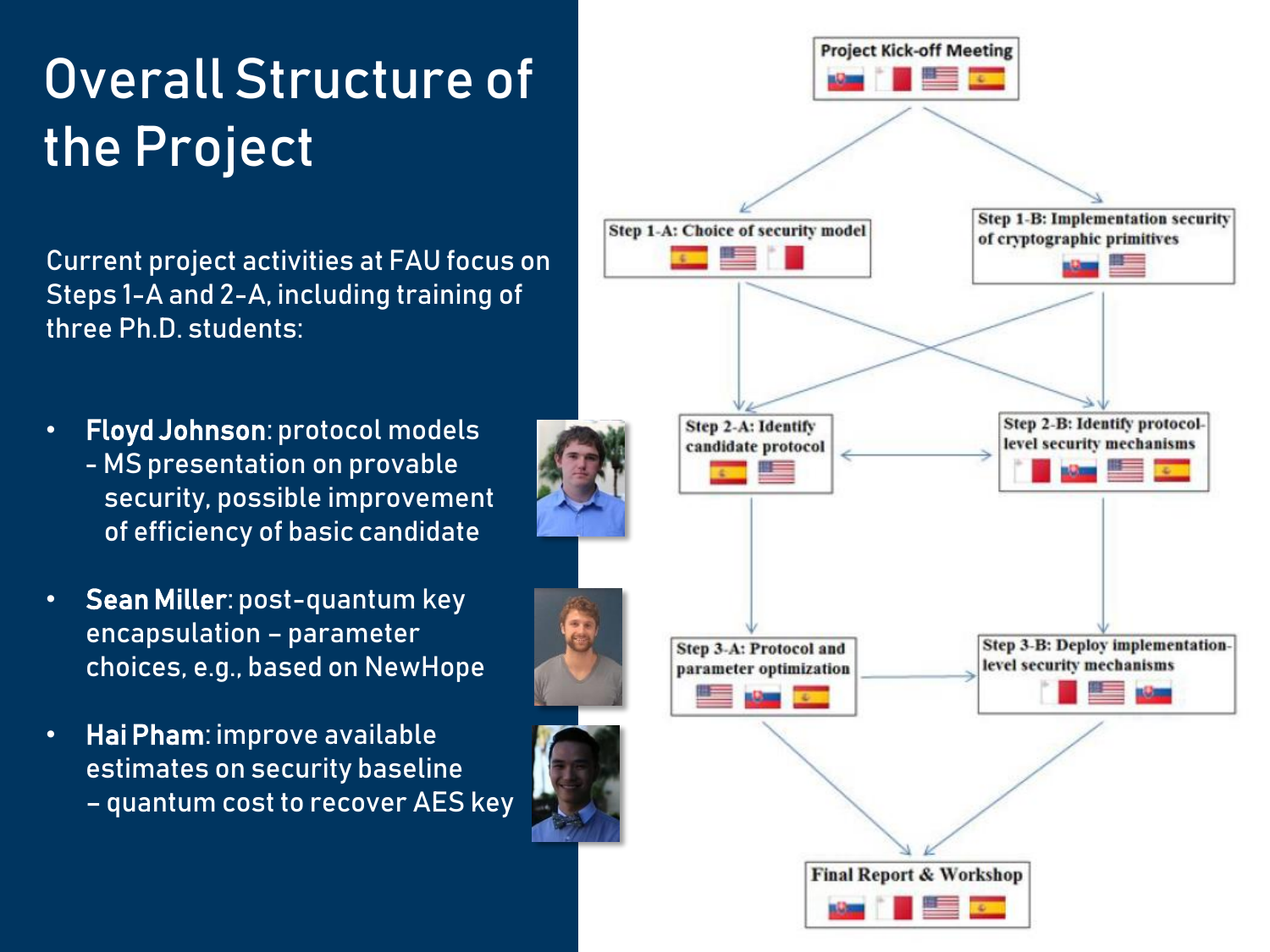# Overall Structure of the Project

Current project activities at FAU focus on Steps 1-A and 2-A, including training of three Ph.D. students:

- Floyd Johnson: protocol models - MS presentation on provable security, possible improvement of efficiency of basic candidate
- Sean Miller: post-quantum key encapsulation – parameter choices, e.g., based on NewHope
- Hai Pham: improve available estimates on security baseline – quantum cost to recover AES key

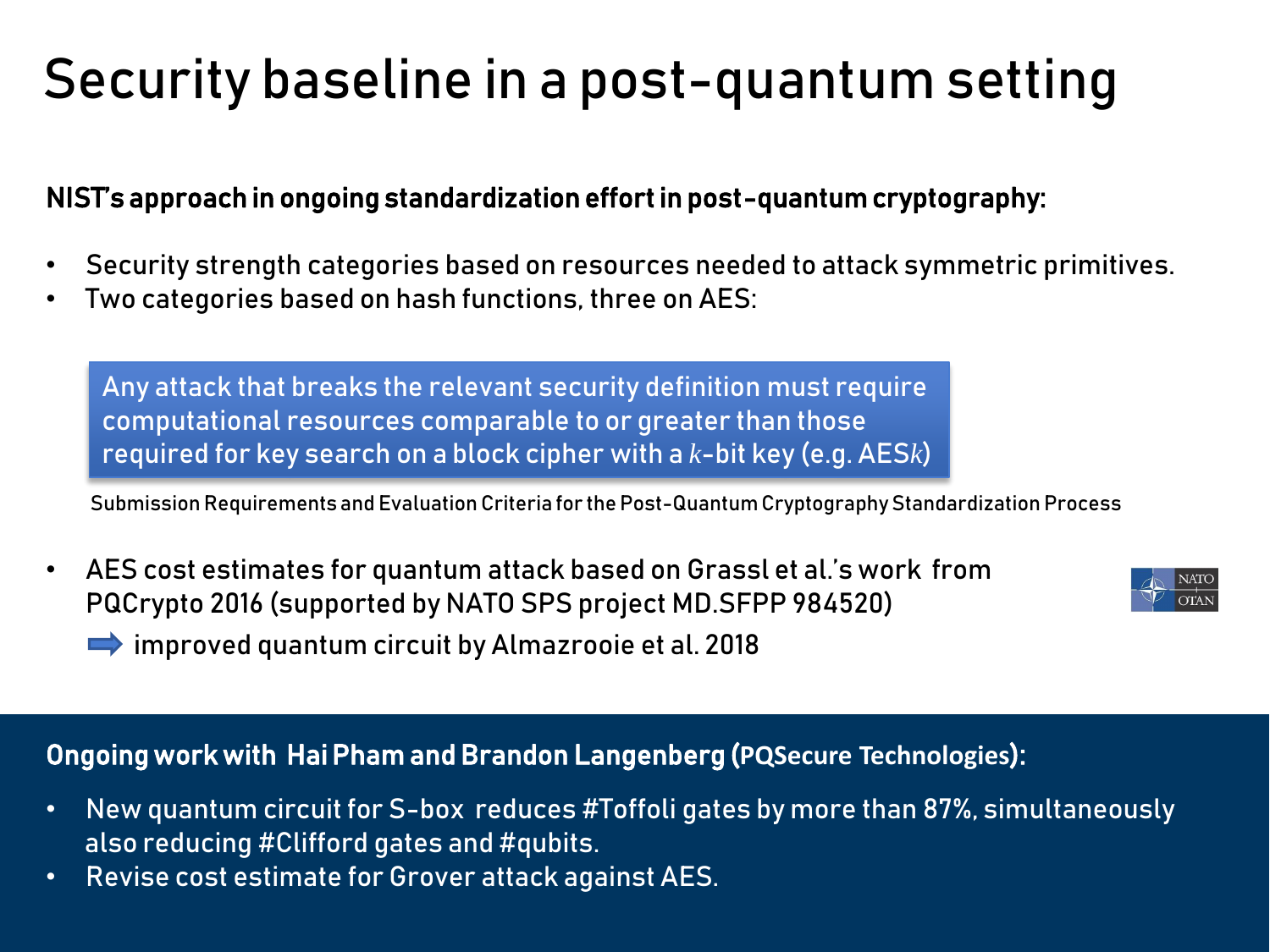# Security baseline in a post-quantum setting

### NIST's approach in ongoing standardization effort in post-quantum cryptography:

- Security strength categories based on resources needed to attack symmetric primitives.
- Two categories based on hash functions, three on AES:

Any attack that breaks the relevant security definition must require computational resources comparable to or greater than those required for key search on a block cipher with a *k*-bit key (e.g. AES*k*)

Submission Requirements and Evaluation Criteria for the Post-Quantum Cryptography Standardization Process

• AES cost estimates for quantum attack based on Grassl et al.'s work from PQCrypto 2016 (supported by NATO SPS project MD.SFPP 984520) improved quantum circuit by Almazrooie et al. 2018



#### Ongoing work with Hai Pham and Brandon Langenberg (**PQSecure Technologies**):

- New quantum circuit for S-box reduces #Toffoli gates by more than 87%, simultaneously also reducing #Clifford gates and #qubits.
- Revise cost estimate for Grover attack against AES.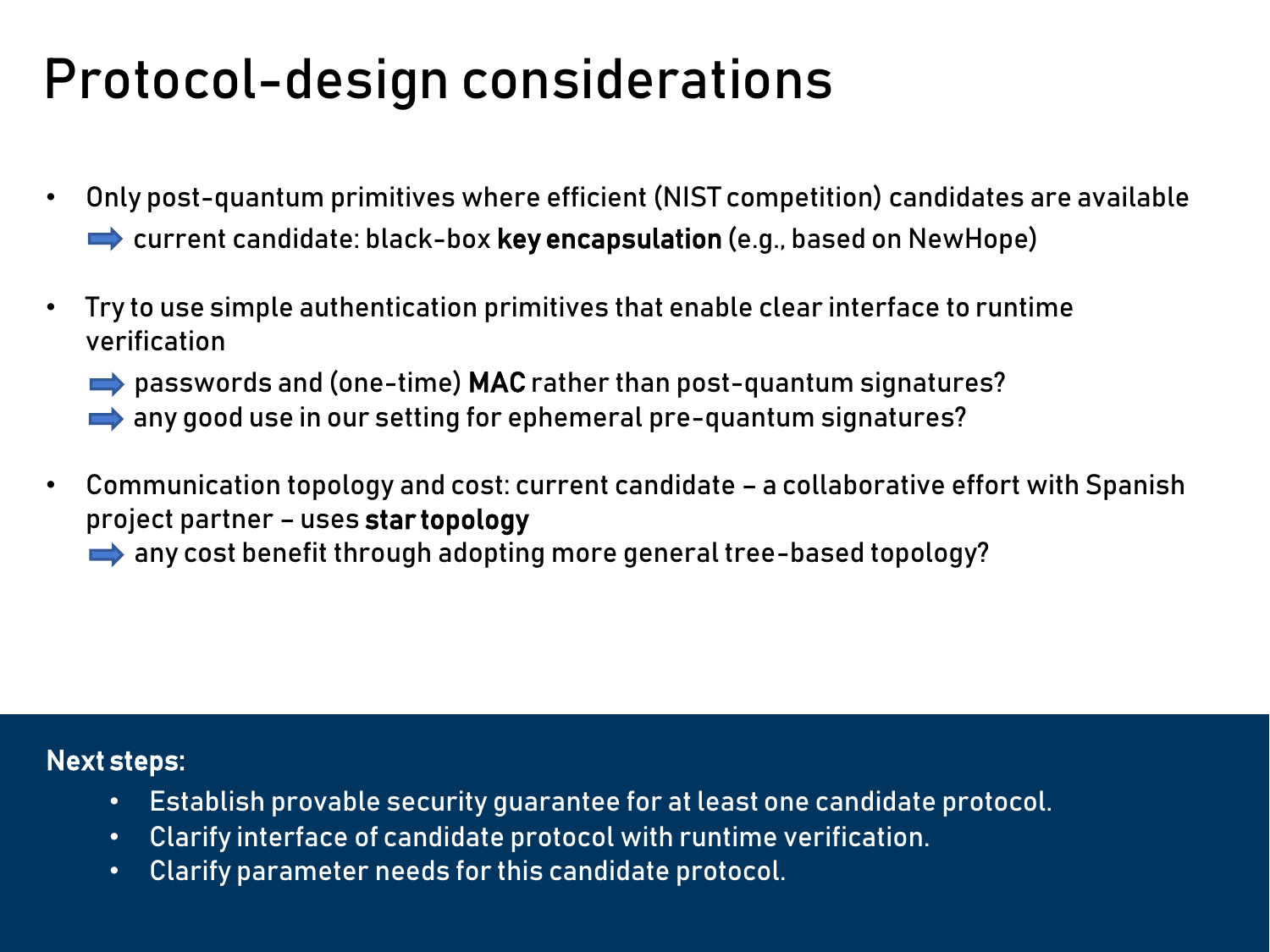## Protocol-design considerations

- Only post-quantum primitives where efficient (NIST competition) candidates are available  $\rightarrow$  current candidate: black-box key encapsulation (e.g., based on NewHope)
- Try to use simple authentication primitives that enable clear interface to runtime verification
	- passwords and (one-time) MAC rather than post-quantum signatures?
	- any good use in our setting for ephemeral pre-quantum signatures?
- Communication topology and cost: current candidate a collaborative effort with Spanish project partner – uses star topology
	- any cost benefit through adopting more general tree-based topology?

#### Next steps:

- Establish provable security guarantee for at least one candidate protocol.
- Clarify interface of candidate protocol with runtime verification.
- Clarify parameter needs for this candidate protocol.